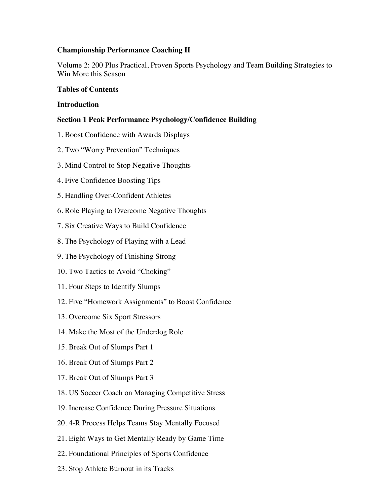# **Championship Performance Coaching II**

Volume 2: 200 Plus Practical, Proven Sports Psychology and Team Building Strategies to Win More this Season

# **Tables of Contents**

### **Introduction**

# **Section 1 Peak Performance Psychology/Confidence Building**

- 1. Boost Confidence with Awards Displays
- 2. Two "Worry Prevention" Techniques
- 3. Mind Control to Stop Negative Thoughts
- 4. Five Confidence Boosting Tips
- 5. Handling Over-Confident Athletes
- 6. Role Playing to Overcome Negative Thoughts
- 7. Six Creative Ways to Build Confidence
- 8. The Psychology of Playing with a Lead
- 9. The Psychology of Finishing Strong
- 10. Two Tactics to Avoid "Choking"
- 11. Four Steps to Identify Slumps
- 12. Five "Homework Assignments" to Boost Confidence
- 13. Overcome Six Sport Stressors
- 14. Make the Most of the Underdog Role
- 15. Break Out of Slumps Part 1
- 16. Break Out of Slumps Part 2
- 17. Break Out of Slumps Part 3
- 18. US Soccer Coach on Managing Competitive Stress
- 19. Increase Confidence During Pressure Situations
- 20. 4-R Process Helps Teams Stay Mentally Focused
- 21. Eight Ways to Get Mentally Ready by Game Time
- 22. Foundational Principles of Sports Confidence
- 23. Stop Athlete Burnout in its Tracks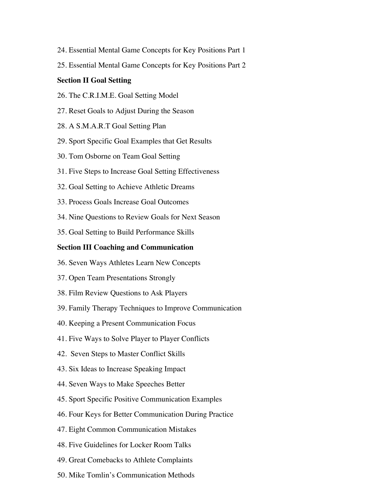- 24. Essential Mental Game Concepts for Key Positions Part 1
- 25. Essential Mental Game Concepts for Key Positions Part 2

#### **Section II Goal Setting**

- 26. The C.R.I.M.E. Goal Setting Model
- 27. Reset Goals to Adjust During the Season
- 28. A S.M.A.R.T Goal Setting Plan
- 29. Sport Specific Goal Examples that Get Results
- 30. Tom Osborne on Team Goal Setting
- 31. Five Steps to Increase Goal Setting Effectiveness
- 32. Goal Setting to Achieve Athletic Dreams
- 33. Process Goals Increase Goal Outcomes
- 34. Nine Questions to Review Goals for Next Season
- 35. Goal Setting to Build Performance Skills

### **Section III Coaching and Communication**

- 36. Seven Ways Athletes Learn New Concepts
- 37. Open Team Presentations Strongly
- 38. Film Review Questions to Ask Players
- 39. Family Therapy Techniques to Improve Communication
- 40. Keeping a Present Communication Focus
- 41. Five Ways to Solve Player to Player Conflicts
- 42. Seven Steps to Master Conflict Skills
- 43. Six Ideas to Increase Speaking Impact
- 44. Seven Ways to Make Speeches Better
- 45. Sport Specific Positive Communication Examples
- 46. Four Keys for Better Communication During Practice
- 47. Eight Common Communication Mistakes
- 48. Five Guidelines for Locker Room Talks
- 49. Great Comebacks to Athlete Complaints
- 50. Mike Tomlin's Communication Methods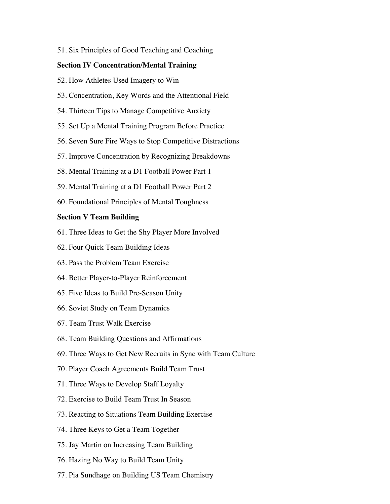51. Six Principles of Good Teaching and Coaching

#### **Section IV Concentration/Mental Training**

- 52. How Athletes Used Imagery to Win
- 53. Concentration, Key Words and the Attentional Field
- 54. Thirteen Tips to Manage Competitive Anxiety
- 55. Set Up a Mental Training Program Before Practice
- 56. Seven Sure Fire Ways to Stop Competitive Distractions
- 57. Improve Concentration by Recognizing Breakdowns
- 58. Mental Training at a D1 Football Power Part 1
- 59. Mental Training at a D1 Football Power Part 2
- 60. Foundational Principles of Mental Toughness

### **Section V Team Building**

- 61. Three Ideas to Get the Shy Player More Involved
- 62. Four Quick Team Building Ideas
- 63. Pass the Problem Team Exercise
- 64. Better Player-to-Player Reinforcement
- 65. Five Ideas to Build Pre-Season Unity
- 66. Soviet Study on Team Dynamics
- 67. Team Trust Walk Exercise
- 68. Team Building Questions and Affirmations
- 69. Three Ways to Get New Recruits in Sync with Team Culture
- 70. Player Coach Agreements Build Team Trust
- 71. Three Ways to Develop Staff Loyalty
- 72. Exercise to Build Team Trust In Season
- 73. Reacting to Situations Team Building Exercise
- 74. Three Keys to Get a Team Together
- 75. Jay Martin on Increasing Team Building
- 76. Hazing No Way to Build Team Unity
- 77. Pia Sundhage on Building US Team Chemistry